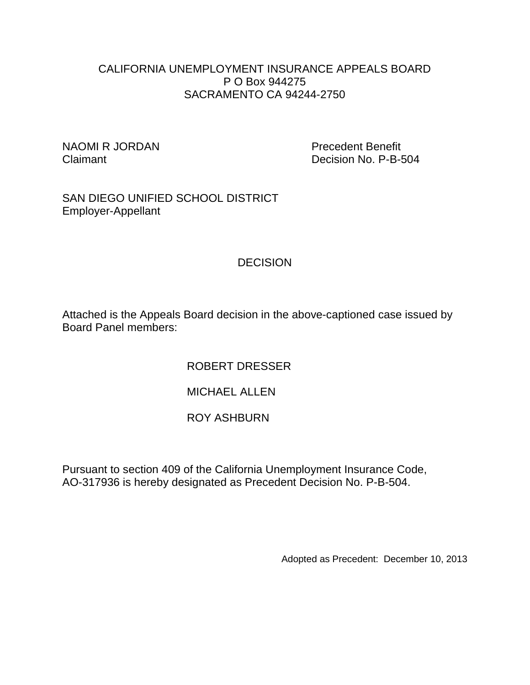### CALIFORNIA UNEMPLOYMENT INSURANCE APPEALS BOARD P O Box 944275 SACRAMENTO CA 94244-2750

NAOMI R JORDAN Precedent Benefit

Claimant **Decision No. P-B-504** 

SAN DIEGO UNIFIED SCHOOL DISTRICT Employer-Appellant

# **DECISION**

Attached is the Appeals Board decision in the above-captioned case issued by Board Panel members:

ROBERT DRESSER

MICHAEL ALLEN

## ROY ASHBURN

Pursuant to section 409 of the California Unemployment Insurance Code, AO-317936 is hereby designated as Precedent Decision No. P-B-504.

Adopted as Precedent: December 10, 2013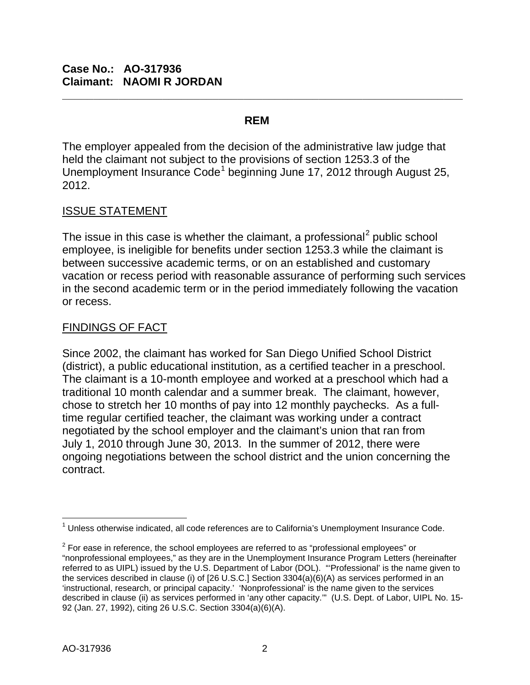#### **REM**

**\_\_\_\_\_\_\_\_\_\_\_\_\_\_\_\_\_\_\_\_\_\_\_\_\_\_\_\_\_\_\_\_\_\_\_\_\_\_\_\_\_\_\_\_\_\_\_\_\_\_\_\_\_\_\_\_\_\_\_\_\_\_\_\_**

The employer appealed from the decision of the administrative law judge that held the claimant not subject to the provisions of section 1253.3 of the Unemployment Insurance Code<sup>[1](#page-1-0)</sup> beginning June 17, 2012 through August 25, 2012.

#### ISSUE STATEMENT

The issue in this case is whether the claimant, a professional<sup>[2](#page-1-1)</sup> public school employee, is ineligible for benefits under section 1253.3 while the claimant is between successive academic terms, or on an established and customary vacation or recess period with reasonable assurance of performing such services in the second academic term or in the period immediately following the vacation or recess.

#### FINDINGS OF FACT

Since 2002, the claimant has worked for San Diego Unified School District (district), a public educational institution, as a certified teacher in a preschool. The claimant is a 10-month employee and worked at a preschool which had a traditional 10 month calendar and a summer break. The claimant, however, chose to stretch her 10 months of pay into 12 monthly paychecks. As a fulltime regular certified teacher, the claimant was working under a contract negotiated by the school employer and the claimant's union that ran from July 1, 2010 through June 30, 2013. In the summer of 2012, there were ongoing negotiations between the school district and the union concerning the contract.

<span id="page-1-0"></span> $\overline{\phantom{a}}$  $1$  Unless otherwise indicated, all code references are to California's Unemployment Insurance Code.

<span id="page-1-1"></span> $2$  For ease in reference, the school employees are referred to as "professional employees" or "nonprofessional employees," as they are in the Unemployment Insurance Program Letters (hereinafter referred to as UIPL) issued by the U.S. Department of Labor (DOL). "'Professional' is the name given to the services described in clause (i) of [26 U.S.C.] Section 3304(a)(6)(A) as services performed in an 'instructional, research, or principal capacity.' 'Nonprofessional' is the name given to the services described in clause (ii) as services performed in 'any other capacity.'" (U.S. Dept. of Labor, UIPL No. 15- 92 (Jan. 27, 1992), citing 26 U.S.C. Section 3304(a)(6)(A).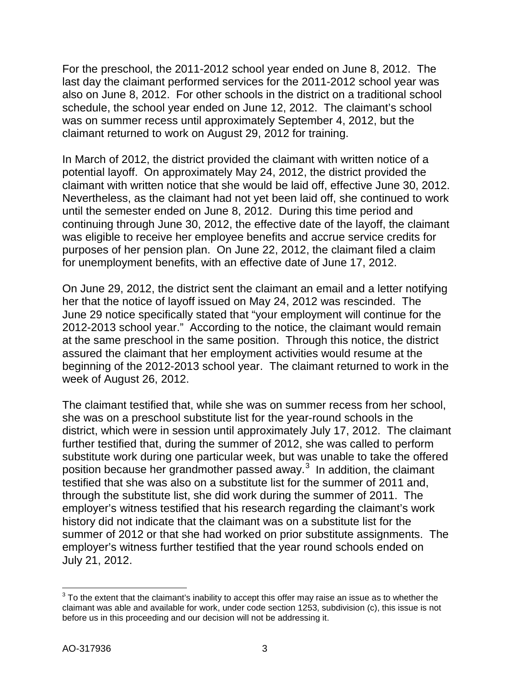For the preschool, the 2011-2012 school year ended on June 8, 2012. The last day the claimant performed services for the 2011-2012 school year was also on June 8, 2012. For other schools in the district on a traditional school schedule, the school year ended on June 12, 2012. The claimant's school was on summer recess until approximately September 4, 2012, but the claimant returned to work on August 29, 2012 for training.

In March of 2012, the district provided the claimant with written notice of a potential layoff. On approximately May 24, 2012, the district provided the claimant with written notice that she would be laid off, effective June 30, 2012. Nevertheless, as the claimant had not yet been laid off, she continued to work until the semester ended on June 8, 2012. During this time period and continuing through June 30, 2012, the effective date of the layoff, the claimant was eligible to receive her employee benefits and accrue service credits for purposes of her pension plan. On June 22, 2012, the claimant filed a claim for unemployment benefits, with an effective date of June 17, 2012.

On June 29, 2012, the district sent the claimant an email and a letter notifying her that the notice of layoff issued on May 24, 2012 was rescinded. The June 29 notice specifically stated that "your employment will continue for the 2012-2013 school year." According to the notice, the claimant would remain at the same preschool in the same position. Through this notice, the district assured the claimant that her employment activities would resume at the beginning of the 2012-2013 school year. The claimant returned to work in the week of August 26, 2012.

The claimant testified that, while she was on summer recess from her school, she was on a preschool substitute list for the year-round schools in the district, which were in session until approximately July 17, 2012. The claimant further testified that, during the summer of 2012, she was called to perform substitute work during one particular week, but was unable to take the offered position because her grandmother passed away. $3$  In addition, the claimant testified that she was also on a substitute list for the summer of 2011 and, through the substitute list, she did work during the summer of 2011. The employer's witness testified that his research regarding the claimant's work history did not indicate that the claimant was on a substitute list for the summer of 2012 or that she had worked on prior substitute assignments. The employer's witness further testified that the year round schools ended on July 21, 2012.

<span id="page-2-0"></span> $\overline{a}$  $3$  To the extent that the claimant's inability to accept this offer may raise an issue as to whether the claimant was able and available for work, under code section 1253, subdivision (c), this issue is not before us in this proceeding and our decision will not be addressing it.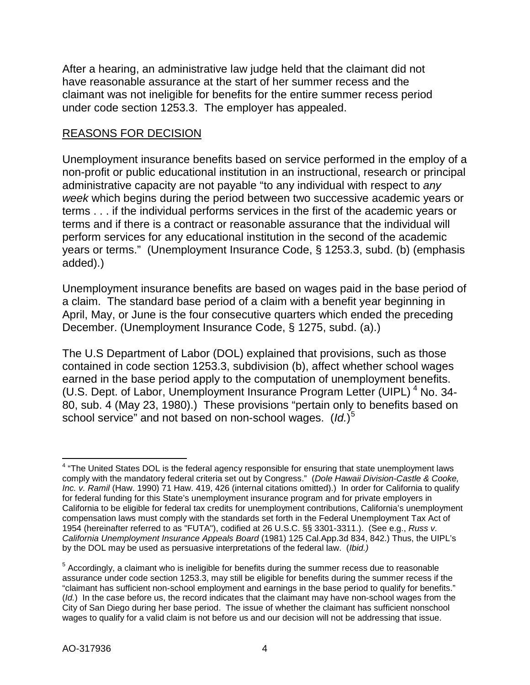After a hearing, an administrative law judge held that the claimant did not have reasonable assurance at the start of her summer recess and the claimant was not ineligible for benefits for the entire summer recess period under code section 1253.3. The employer has appealed.

### REASONS FOR DECISION

Unemployment insurance benefits based on service performed in the employ of a non-profit or public educational institution in an instructional, research or principal administrative capacity are not payable "to any individual with respect to *any week* which begins during the period between two successive academic years or terms . . . if the individual performs services in the first of the academic years or terms and if there is a contract or reasonable assurance that the individual will perform services for any educational institution in the second of the academic years or terms." (Unemployment Insurance Code, § 1253.3, subd. (b) (emphasis added).)

Unemployment insurance benefits are based on wages paid in the base period of a claim. The standard base period of a claim with a benefit year beginning in April, May, or June is the four consecutive quarters which ended the preceding December. (Unemployment Insurance Code, § 1275, subd. (a).)

The U.S Department of Labor (DOL) explained that provisions, such as those contained in code section 1253.3, subdivision (b), affect whether school wages earned in the base period apply to the computation of unemployment benefits. (U.S. Dept. of Labor, Unemployment Insurance Program Letter (UIPL)<sup>[4](#page-3-0)</sup> No. 34-80, sub. 4 (May 23, 1980).) These provisions "pertain only to benefits based on school service" and not based on non-school wages. (*Id.*) [5](#page-3-1)

<span id="page-3-0"></span> $\overline{\phantom{a}}$  $4$  "The United States DOL is the federal agency responsible for ensuring that state unemployment laws comply with the mandatory federal criteria set out by Congress." (*Dole Hawaii Division-Castle & Cooke, Inc. v. Ramil* (Haw. 1990) 71 Haw. 419, 426 (internal citations omitted).) In order for California to qualify for federal funding for this State's unemployment insurance program and for private employers in California to be eligible for federal tax credits for unemployment contributions, California's unemployment compensation laws must comply with the standards set forth in the Federal Unemployment Tax Act of 1954 (hereinafter referred to as "FUTA"), codified at 26 U.S.C. §§ 3301-3311.). (See e.g., *Russ v. California Unemployment Insurance Appeals Board* (1981) 125 Cal.App.3d 834, 842.) Thus, the UIPL's by the DOL may be used as persuasive interpretations of the federal law. (*Ibid.)* 

<span id="page-3-1"></span> $<sup>5</sup>$  Accordingly, a claimant who is ineligible for benefits during the summer recess due to reasonable</sup> assurance under code section 1253.3, may still be eligible for benefits during the summer recess if the "claimant has sufficient non-school employment and earnings in the base period to qualify for benefits." (*Id.*) In the case before us, the record indicates that the claimant may have non-school wages from the City of San Diego during her base period. The issue of whether the claimant has sufficient nonschool wages to qualify for a valid claim is not before us and our decision will not be addressing that issue.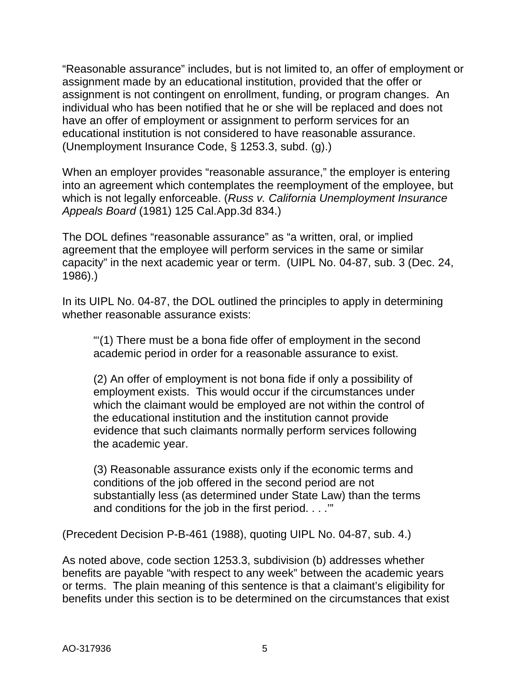"Reasonable assurance" includes, but is not limited to, an offer of employment or assignment made by an educational institution, provided that the offer or assignment is not contingent on enrollment, funding, or program changes. An individual who has been notified that he or she will be replaced and does not have an offer of employment or assignment to perform services for an educational institution is not considered to have reasonable assurance. (Unemployment Insurance Code, § 1253.3, subd. (g).)

When an employer provides "reasonable assurance," the employer is entering into an agreement which contemplates the reemployment of the employee, but which is not legally enforceable. (*Russ v. California Unemployment Insurance Appeals Board* (1981) 125 Cal.App.3d 834.)

The DOL defines "reasonable assurance" as "a written, oral, or implied agreement that the employee will perform services in the same or similar capacity" in the next academic year or term. (UIPL No. 04-87, sub. 3 (Dec. 24, 1986).)

In its UIPL No. 04-87, the DOL outlined the principles to apply in determining whether reasonable assurance exists:

"'(1) There must be a bona fide offer of employment in the second academic period in order for a reasonable assurance to exist.

(2) An offer of employment is not bona fide if only a possibility of employment exists. This would occur if the circumstances under which the claimant would be employed are not within the control of the educational institution and the institution cannot provide evidence that such claimants normally perform services following the academic year.

(3) Reasonable assurance exists only if the economic terms and conditions of the job offered in the second period are not substantially less (as determined under State Law) than the terms and conditions for the job in the first period. . . .'"

(Precedent Decision P-B-461 (1988), quoting UIPL No. 04-87, sub. 4.)

As noted above, code section 1253.3, subdivision (b) addresses whether benefits are payable "with respect to any week" between the academic years or terms. The plain meaning of this sentence is that a claimant's eligibility for benefits under this section is to be determined on the circumstances that exist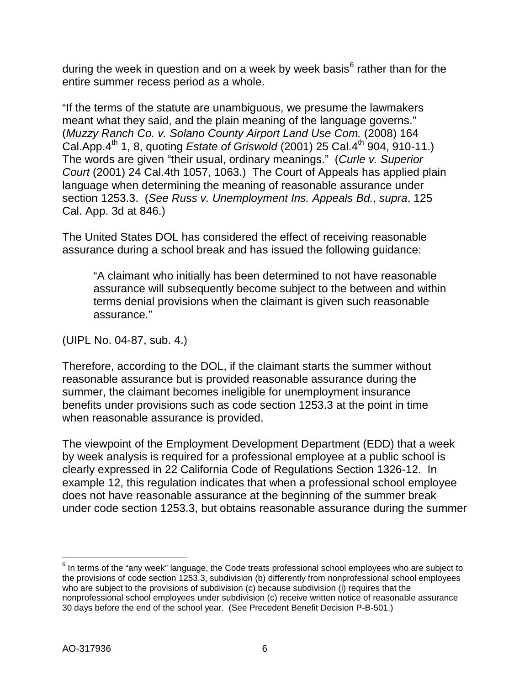during the week in question and on a week by week basis $<sup>6</sup>$  $<sup>6</sup>$  $<sup>6</sup>$  rather than for the</sup> entire summer recess period as a whole.

"If the terms of the statute are unambiguous, we presume the lawmakers meant what they said, and the plain meaning of the language governs." (*Muzzy Ranch Co. v. Solano County Airport Land Use Com.* (2008) 164 Cal.App.4<sup>th</sup> 1, 8, quoting *Estate of Griswold* (2001) 25 Cal.4<sup>th</sup> 904, 910-11.) The words are given "their usual, ordinary meanings." (*Curle v. Superior Court* (2001) 24 Cal.4th 1057, 1063.) The Court of Appeals has applied plain language when determining the meaning of reasonable assurance under section 1253.3. (*See [Russ v. Unemployment](http://www.lexis.com/research/xlink?app=00075&view=full&searchtype=get&search=125+Cal.+App.+3d+834%2520at%2520846) Ins. Appeals Bd.*, *supra*, 125 [Cal. App. 3d at 846.\)](http://www.lexis.com/research/xlink?app=00075&view=full&searchtype=get&search=125+Cal.+App.+3d+834%2520at%2520846)

The United States DOL has considered the effect of receiving reasonable assurance during a school break and has issued the following guidance:

"A claimant who initially has been determined to not have reasonable assurance will subsequently become subject to the between and within terms denial provisions when the claimant is given such reasonable assurance."

(UIPL No. 04-87, sub. 4.)

Therefore, according to the DOL, if the claimant starts the summer without reasonable assurance but is provided reasonable assurance during the summer, the claimant becomes ineligible for unemployment insurance benefits under provisions such as code section 1253.3 at the point in time when reasonable assurance is provided.

The viewpoint of the Employment Development Department (EDD) that a week by week analysis is required for a professional employee at a public school is clearly expressed in 22 California Code of Regulations Section 1326-12. In example 12, this regulation indicates that when a professional school employee does not have reasonable assurance at the beginning of the summer break under code section 1253.3, but obtains reasonable assurance during the summer

<span id="page-5-0"></span> $\overline{a}$  $^6$  In terms of the "any week" language, the Code treats professional school employees who are subject to the provisions of code section 1253.3, subdivision (b) differently from nonprofessional school employees who are subject to the provisions of subdivision (c) because subdivision (i) requires that the nonprofessional school employees under subdivision (c) receive written notice of reasonable assurance 30 days before the end of the school year. (See Precedent Benefit Decision P-B-501.)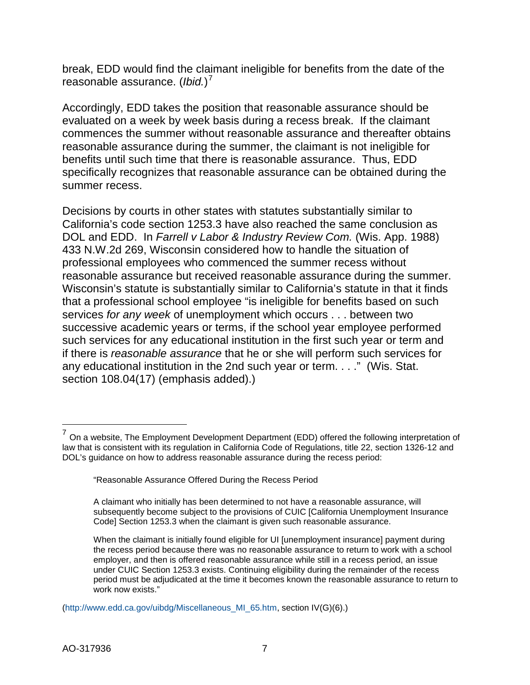break, EDD would find the claimant ineligible for benefits from the date of the reasonable assurance. (*Ibid.*) [7](#page-6-0)

Accordingly, EDD takes the position that reasonable assurance should be evaluated on a week by week basis during a recess break. If the claimant commences the summer without reasonable assurance and thereafter obtains reasonable assurance during the summer, the claimant is not ineligible for benefits until such time that there is reasonable assurance. Thus, EDD specifically recognizes that reasonable assurance can be obtained during the summer recess.

Decisions by courts in other states with statutes substantially similar to California's code section 1253.3 have also reached the same conclusion as DOL and EDD. In *Farrell v Labor & Industry Review Com.* (Wis. App. 1988) 433 N.W.2d 269, Wisconsin considered how to handle the situation of professional employees who commenced the summer recess without reasonable assurance but received reasonable assurance during the summer. Wisconsin's statute is substantially similar to California's statute in that it finds that a professional school employee "is ineligible for benefits based on such services *for any week* of unemployment which occurs . . . between two successive academic years or terms, if the school year employee performed such services for any educational institution in the first such year or term and if there is *reasonable assurance* that he or she will perform such services for any educational institution in the 2nd such year or term. . . ." (Wis. Stat. section 108.04(17) (emphasis added).)

 $\overline{a}$ 

<span id="page-6-0"></span> $^7$  On a website, The Employment Development Department (EDD) offered the following interpretation of law that is consistent with its regulation in California Code of Regulations, title 22, section 1326-12 and DOL's guidance on how to address reasonable assurance during the recess period:

<sup>&</sup>quot;Reasonable Assurance Offered During the Recess Period

A claimant who initially has been determined to not have a reasonable assurance, will subsequently become subject to the provisions of CUIC [California Unemployment Insurance Code] Section 1253.3 when the claimant is given such reasonable assurance.

When the claimant is initially found eligible for UI [unemployment insurance] payment during the recess period because there was no reasonable assurance to return to work with a school employer, and then is offered reasonable assurance while still in a recess period, an issue under CUIC Section 1253.3 exists. Continuing eligibility during the remainder of the recess period must be adjudicated at the time it becomes known the reasonable assurance to return to work now exists."

[<sup>\(</sup>http://www.edd.ca.gov/uibdg/Miscellaneous\\_MI\\_65.htm,](http://www.edd.ca.gov/uibdg/Miscellaneous_MI_65.htm) section IV(G)(6).)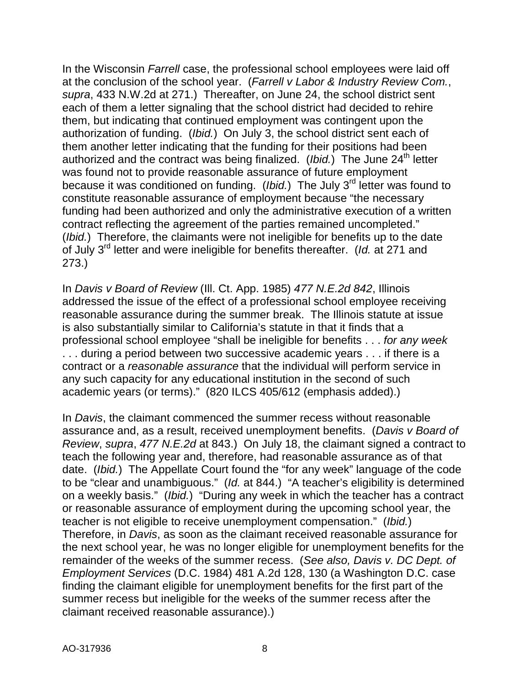In the Wisconsin *Farrell* case, the professional school employees were laid off at the conclusion of the school year. (*Farrell v Labor & Industry Review Com.*, *supra*, 433 N.W.2d at 271.) Thereafter, on June 24, the school district sent each of them a letter signaling that the school district had decided to rehire them, but indicating that continued employment was contingent upon the authorization of funding. (*Ibid.*) On July 3, the school district sent each of them another letter indicating that the funding for their positions had been authorized and the contract was being finalized. (*Ibid.*) The June 24<sup>th</sup> letter was found not to provide reasonable assurance of future employment because it was conditioned on funding. (*Ibid.*) The July 3<sup>rd</sup> letter was found to constitute reasonable assurance of employment because "the necessary funding had been authorized and only the administrative execution of a written contract reflecting the agreement of the parties remained uncompleted." (*Ibid.*) Therefore, the claimants were not ineligible for benefits up to the date of July 3rd letter and were ineligible for benefits thereafter. (*Id.* at 271 and 273.)

In *Davis v Board of Review* (Ill. Ct. App. 1985) *477 N.E.2d 842*, Illinois addressed the issue of the effect of a professional school employee receiving reasonable assurance during the summer break. The Illinois statute at issue is also substantially similar to California's statute in that it finds that a professional school employee "shall be ineligible for benefits . . . *for any week* . . . during a period between two successive academic years . . . if there is a contract or a *reasonable assurance* that the individual will perform service in any such capacity for any educational institution in the second of such academic years (or terms)." (820 ILCS 405/612 (emphasis added).)

In *Davis*, the claimant commenced the summer recess without reasonable assurance and, as a result, received unemployment benefits. (*Davis v Board of Review*, *supra*, *477 N.E.2d* at 843.) On July 18, the claimant signed a contract to teach the following year and, therefore, had reasonable assurance as of that date. (*Ibid.*) The Appellate Court found the "for any week" language of the code to be "clear and unambiguous." (*Id.* at 844.) "A teacher's eligibility is determined on a weekly basis." (*Ibid.*) "During any week in which the teacher has a contract or reasonable assurance of employment during the upcoming school year, the teacher is not eligible to receive unemployment compensation." (*Ibid.*) Therefore, in *Davis*, as soon as the claimant received reasonable assurance for the next school year, he was no longer eligible for unemployment benefits for the remainder of the weeks of the summer recess. (*See also, Davis v. DC Dept. of Employment Services* (D.C. 1984) 481 A.2d 128, 130 (a Washington D.C. case finding the claimant eligible for unemployment benefits for the first part of the summer recess but ineligible for the weeks of the summer recess after the claimant received reasonable assurance).)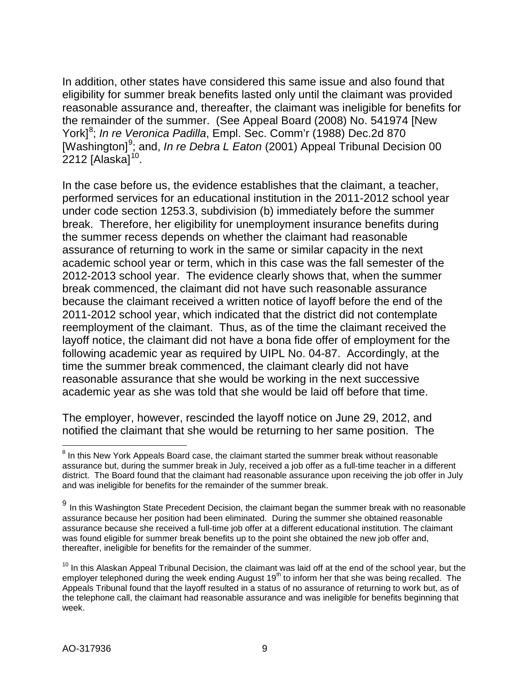In addition, other states have considered this same issue and also found that eligibility for summer break benefits lasted only until the claimant was provided reasonable assurance and, thereafter, the claimant was ineligible for benefits for the remainder of the summer. (See Appeal Board (2008) No. 541974 [New York]<sup>[8](#page-8-0)</sup>; *In re Veronica Padilla*, Empl. Sec. Comm'r (1988) Dec.2d 870 [Washington]<sup>[9](#page-8-1)</sup>; and, *In re Debra L Eaton* (2001) Appeal Tribunal Decision 00 2212 [Alaska] $^{10}$ .

In the case before us, the evidence establishes that the claimant, a teacher, performed services for an educational institution in the 2011-2012 school year under code section 1253.3, subdivision (b) immediately before the summer break. Therefore, her eligibility for unemployment insurance benefits during the summer recess depends on whether the claimant had reasonable assurance of returning to work in the same or similar capacity in the next academic school year or term, which in this case was the fall semester of the 2012-2013 school year. The evidence clearly shows that, when the summer break commenced, the claimant did not have such reasonable assurance because the claimant received a written notice of layoff before the end of the 2011-2012 school year, which indicated that the district did not contemplate reemployment of the claimant. Thus, as of the time the claimant received the layoff notice, the claimant did not have a bona fide offer of employment for the following academic year as required by UIPL No. 04-87. Accordingly, at the time the summer break commenced, the claimant clearly did not have reasonable assurance that she would be working in the next successive academic year as she was told that she would be laid off before that time.

The employer, however, rescinded the layoff notice on June 29, 2012, and notified the claimant that she would be returning to her same position. The

<span id="page-8-0"></span> $\overline{a}$  $8$  In this New York Appeals Board case, the claimant started the summer break without reasonable assurance but, during the summer break in July, received a job offer as a full-time teacher in a different district. The Board found that the claimant had reasonable assurance upon receiving the job offer in July and was ineligible for benefits for the remainder of the summer break.

<span id="page-8-1"></span> $9$  In this Washington State Precedent Decision, the claimant began the summer break with no reasonable assurance because her position had been eliminated. During the summer she obtained reasonable assurance because she received a full-time job offer at a different educational institution. The claimant was found eligible for summer break benefits up to the point she obtained the new job offer and, thereafter, ineligible for benefits for the remainder of the summer.

<span id="page-8-2"></span> $10$  In this Alaskan Appeal Tribunal Decision, the claimant was laid off at the end of the school year, but the employer telephoned during the week ending August 19<sup>th</sup> to inform her that she was being recalled. The Appeals Tribunal found that the layoff resulted in a status of no assurance of returning to work but, as of the telephone call, the claimant had reasonable assurance and was ineligible for benefits beginning that week.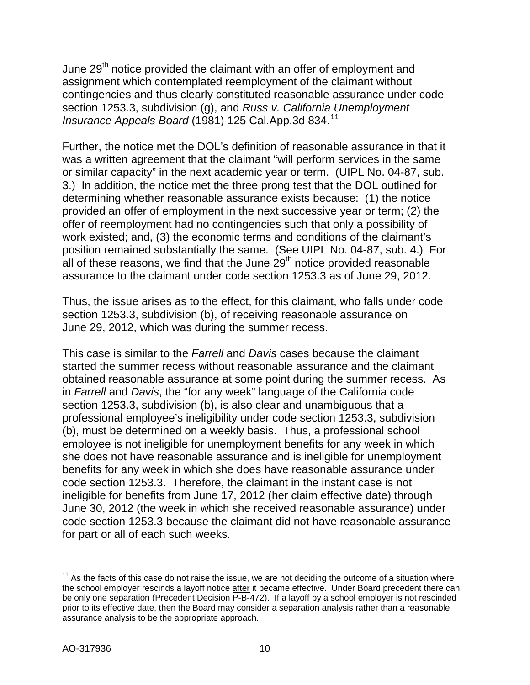June 29<sup>th</sup> notice provided the claimant with an offer of employment and assignment which contemplated reemployment of the claimant without contingencies and thus clearly constituted reasonable assurance under code section 1253.3, subdivision (g), and *Russ v. California Unemployment Insurance Appeals Board* (1981) 125 Cal.App.3d 834.<sup>[11](#page-9-0)</sup>

Further, the notice met the DOL's definition of reasonable assurance in that it was a written agreement that the claimant "will perform services in the same or similar capacity" in the next academic year or term. (UIPL No. 04-87, sub. 3.) In addition, the notice met the three prong test that the DOL outlined for determining whether reasonable assurance exists because: (1) the notice provided an offer of employment in the next successive year or term; (2) the offer of reemployment had no contingencies such that only a possibility of work existed; and, (3) the economic terms and conditions of the claimant's position remained substantially the same. (See UIPL No. 04-87, sub. 4.) For all of these reasons, we find that the June  $29<sup>th</sup>$  notice provided reasonable assurance to the claimant under code section 1253.3 as of June 29, 2012.

Thus, the issue arises as to the effect, for this claimant, who falls under code section 1253.3, subdivision (b), of receiving reasonable assurance on June 29, 2012, which was during the summer recess.

This case is similar to the *Farrell* and *Davis* cases because the claimant started the summer recess without reasonable assurance and the claimant obtained reasonable assurance at some point during the summer recess. As in *Farrell* and *Davis*, the "for any week" language of the California code section 1253.3, subdivision (b), is also clear and unambiguous that a professional employee's ineligibility under code section 1253.3, subdivision (b), must be determined on a weekly basis. Thus, a professional school employee is not ineligible for unemployment benefits for any week in which she does not have reasonable assurance and is ineligible for unemployment benefits for any week in which she does have reasonable assurance under code section 1253.3. Therefore, the claimant in the instant case is not ineligible for benefits from June 17, 2012 (her claim effective date) through June 30, 2012 (the week in which she received reasonable assurance) under code section 1253.3 because the claimant did not have reasonable assurance for part or all of each such weeks.

<span id="page-9-0"></span> $\overline{\phantom{a}}$  $11$  As the facts of this case do not raise the issue, we are not deciding the outcome of a situation where the school employer rescinds a layoff notice after it became effective. Under Board precedent there can be only one separation (Precedent Decision P-B-472). If a layoff by a school employer is not rescinded prior to its effective date, then the Board may consider a separation analysis rather than a reasonable assurance analysis to be the appropriate approach.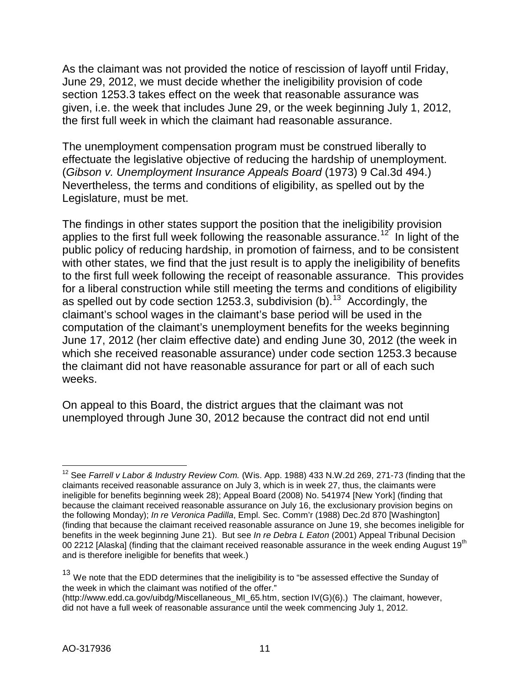As the claimant was not provided the notice of rescission of layoff until Friday, June 29, 2012, we must decide whether the ineligibility provision of code section 1253.3 takes effect on the week that reasonable assurance was given, i.e. the week that includes June 29, or the week beginning July 1, 2012, the first full week in which the claimant had reasonable assurance.

The unemployment compensation program must be construed liberally to effectuate the legislative objective of reducing the hardship of unemployment. (*Gibson v. Unemployment Insurance Appeals Board* (1973) 9 Cal.3d 494.) Nevertheless, the terms and conditions of eligibility, as spelled out by the Legislature, must be met.

The findings in other states support the position that the ineligibility provision applies to the first full week following the reasonable assurance.<sup>[12](#page-10-0)</sup> In light of the public policy of reducing hardship, in promotion of fairness, and to be consistent with other states, we find that the just result is to apply the ineligibility of benefits to the first full week following the receipt of reasonable assurance. This provides for a liberal construction while still meeting the terms and conditions of eligibility as spelled out by code section 1253.3, subdivision (b).<sup>[13](#page-10-1)</sup> Accordingly, the claimant's school wages in the claimant's base period will be used in the computation of the claimant's unemployment benefits for the weeks beginning June 17, 2012 (her claim effective date) and ending June 30, 2012 (the week in which she received reasonable assurance) under code section 1253.3 because the claimant did not have reasonable assurance for part or all of each such weeks.

On appeal to this Board, the district argues that the claimant was not unemployed through June 30, 2012 because the contract did not end until

<span id="page-10-0"></span> $\overline{\phantom{a}}$ <sup>12</sup> See *Farrell v Labor & Industry Review Com.* (Wis. App. 1988) 433 N.W.2d 269, 271-73 (finding that the claimants received reasonable assurance on July 3, which is in week 27, thus, the claimants were ineligible for benefits beginning week 28); Appeal Board (2008) No. 541974 [New York] (finding that because the claimant received reasonable assurance on July 16, the exclusionary provision begins on the following Monday); *In re Veronica Padilla*, Empl. Sec. Comm'r (1988) Dec.2d 870 [Washington] (finding that because the claimant received reasonable assurance on June 19, she becomes ineligible for benefits in the week beginning June 21). But see *In re Debra L Eaton* (2001) Appeal Tribunal Decision 00 2212 [Alaska] (finding that the claimant received reasonable assurance in the week ending August 19<sup>th</sup> and is therefore ineligible for benefits that week.)

<span id="page-10-1"></span><sup>&</sup>lt;sup>13</sup> We note that the EDD determines that the ineligibility is to "be assessed effective the Sunday of the week in which the claimant was notified of the offer."

[<sup>\(</sup>http://www.edd.ca.gov/uibdg/Miscellaneous\\_MI\\_65.htm,](http://www.edd.ca.gov/uibdg/Miscellaneous_MI_65.htm) section IV(G)(6).) The claimant, however, did not have a full week of reasonable assurance until the week commencing July 1, 2012.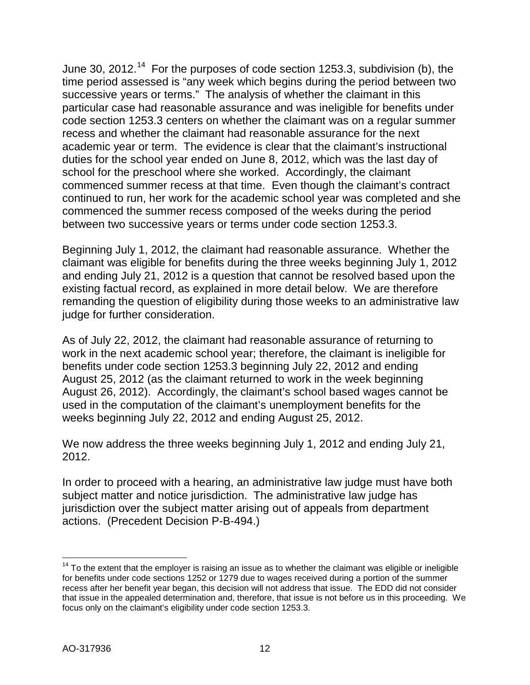June 30, 2012.<sup>14</sup> For the purposes of code section 1253.3, subdivision (b), the time period assessed is "any week which begins during the period between two successive years or terms." The analysis of whether the claimant in this particular case had reasonable assurance and was ineligible for benefits under code section 1253.3 centers on whether the claimant was on a regular summer recess and whether the claimant had reasonable assurance for the next academic year or term. The evidence is clear that the claimant's instructional duties for the school year ended on June 8, 2012, which was the last day of school for the preschool where she worked. Accordingly, the claimant commenced summer recess at that time. Even though the claimant's contract continued to run, her work for the academic school year was completed and she commenced the summer recess composed of the weeks during the period between two successive years or terms under code section 1253.3.

Beginning July 1, 2012, the claimant had reasonable assurance. Whether the claimant was eligible for benefits during the three weeks beginning July 1, 2012 and ending July 21, 2012 is a question that cannot be resolved based upon the existing factual record, as explained in more detail below. We are therefore remanding the question of eligibility during those weeks to an administrative law judge for further consideration.

As of July 22, 2012, the claimant had reasonable assurance of returning to work in the next academic school year; therefore, the claimant is ineligible for benefits under code section 1253.3 beginning July 22, 2012 and ending August 25, 2012 (as the claimant returned to work in the week beginning August 26, 2012). Accordingly, the claimant's school based wages cannot be used in the computation of the claimant's unemployment benefits for the weeks beginning July 22, 2012 and ending August 25, 2012.

We now address the three weeks beginning July 1, 2012 and ending July 21, 2012.

In order to proceed with a hearing, an administrative law judge must have both subject matter and notice jurisdiction. The administrative law judge has jurisdiction over the subject matter arising out of appeals from department actions. (Precedent Decision P-B-494.)

<span id="page-11-0"></span> $\overline{\phantom{a}}$  $14$  To the extent that the employer is raising an issue as to whether the claimant was eligible or ineligible for benefits under code sections 1252 or 1279 due to wages received during a portion of the summer recess after her benefit year began, this decision will not address that issue. The EDD did not consider that issue in the appealed determination and, therefore, that issue is not before us in this proceeding. We focus only on the claimant's eligibility under code section 1253.3.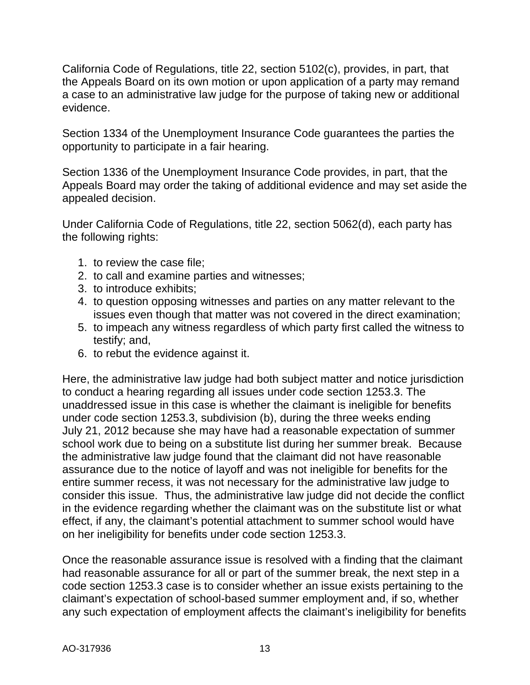California Code of Regulations, title 22, section 5102(c), provides, in part, that the Appeals Board on its own motion or upon application of a party may remand a case to an administrative law judge for the purpose of taking new or additional evidence.

Section 1334 of the Unemployment Insurance Code guarantees the parties the opportunity to participate in a fair hearing.

Section 1336 of the Unemployment Insurance Code provides, in part, that the Appeals Board may order the taking of additional evidence and may set aside the appealed decision.

Under California Code of Regulations, title 22, section 5062(d), each party has the following rights:

- 1. to review the case file;
- 2. to call and examine parties and witnesses;
- 3. to introduce exhibits;
- 4. to question opposing witnesses and parties on any matter relevant to the issues even though that matter was not covered in the direct examination;
- 5. to impeach any witness regardless of which party first called the witness to testify; and,
- 6. to rebut the evidence against it.

Here, the administrative law judge had both subject matter and notice jurisdiction to conduct a hearing regarding all issues under code section 1253.3. The unaddressed issue in this case is whether the claimant is ineligible for benefits under code section 1253.3, subdivision (b), during the three weeks ending July 21, 2012 because she may have had a reasonable expectation of summer school work due to being on a substitute list during her summer break. Because the administrative law judge found that the claimant did not have reasonable assurance due to the notice of layoff and was not ineligible for benefits for the entire summer recess, it was not necessary for the administrative law judge to consider this issue. Thus, the administrative law judge did not decide the conflict in the evidence regarding whether the claimant was on the substitute list or what effect, if any, the claimant's potential attachment to summer school would have on her ineligibility for benefits under code section 1253.3.

Once the reasonable assurance issue is resolved with a finding that the claimant had reasonable assurance for all or part of the summer break, the next step in a code section 1253.3 case is to consider whether an issue exists pertaining to the claimant's expectation of school-based summer employment and, if so, whether any such expectation of employment affects the claimant's ineligibility for benefits